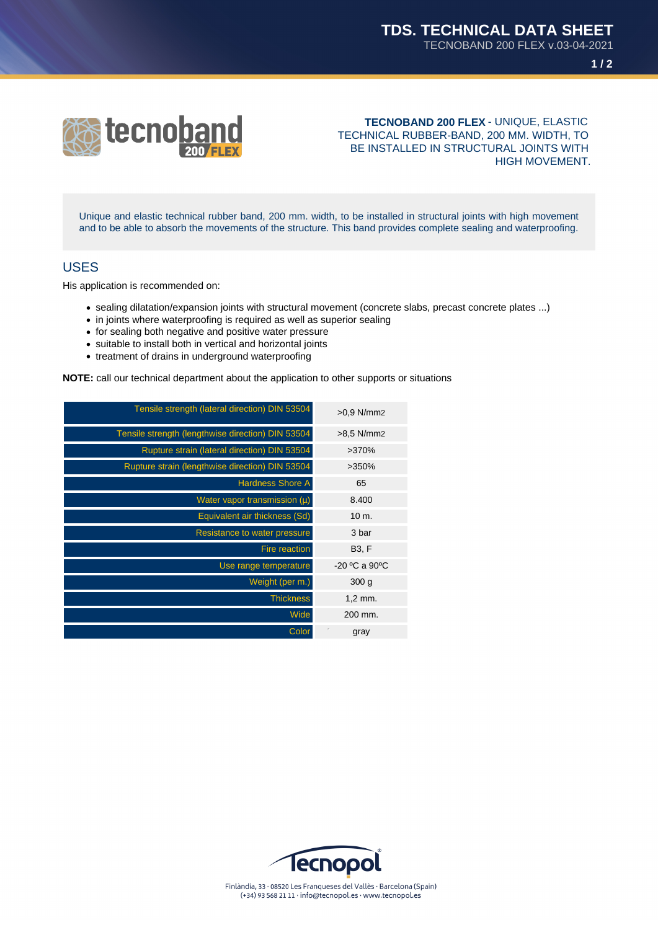

**TECNOBAND 200 FLEX** - UNIQUE, ELASTIC TECHNICAL RUBBER-BAND, 200 MM. WIDTH, TO BE INSTALLED IN STRUCTURAL JOINTS WITH HIGH MOVEMENT.

Unique and elastic technical rubber band, 200 mm. width, to be installed in structural joints with high movement and to be able to absorb the movements of the structure. This band provides complete sealing and waterproofing.

### USES

His application is recommended on:

- sealing dilatation/expansion joints with structural movement (concrete slabs, precast concrete plates ...)
- in joints where waterproofing is required as well as superior sealing
- for sealing both negative and positive water pressure
- suitable to install both in vertical and horizontal joints
- treatment of drains in underground waterproofing

**NOTE:** call our technical department about the application to other supports or situations

| $>0.9$ N/mm2     | Tensile strength (lateral direction) DIN 53504    |
|------------------|---------------------------------------------------|
| $>8.5$ N/mm2     | Tensile strength (lengthwise direction) DIN 53504 |
| >370%            | Rupture strain (lateral direction) DIN 53504      |
| $>350\%$         | Rupture strain (lengthwise direction) DIN 53504   |
| 65               | <b>Hardness Shore A</b>                           |
| 8.400            | Water vapor transmission $(\mu)$                  |
| $10 \text{ m}$ . | Equivalent air thickness (Sd)                     |
| 3 bar            | Resistance to water pressure                      |
| <b>B3, F</b>     | <b>Fire reaction</b>                              |
| $-20$ °C a 90°C  | Use range temperature                             |
| 300 <sub>g</sub> | Weight (per m.)                                   |
| $1,2$ mm.        | <b>Thickness</b>                                  |
| 200 mm.          | Wide                                              |
| gray             | Color                                             |
|                  |                                                   |